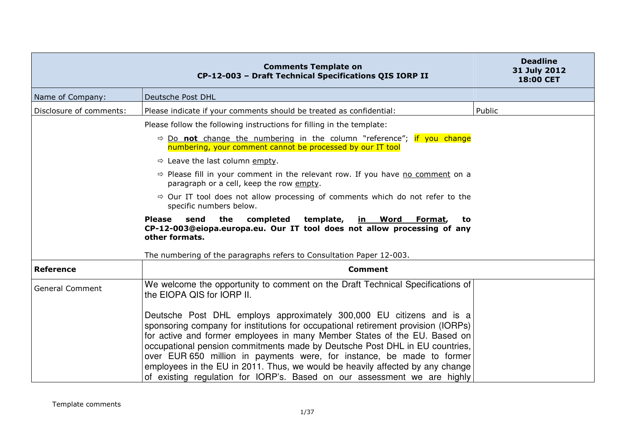|                         | <b>Comments Template on</b><br>CP-12-003 - Draft Technical Specifications QIS IORP II                                                                                                                                                                                                                                                                                                                                                                                                                                                                        | <b>Deadline</b><br>31 July 2012<br>18:00 CET |
|-------------------------|--------------------------------------------------------------------------------------------------------------------------------------------------------------------------------------------------------------------------------------------------------------------------------------------------------------------------------------------------------------------------------------------------------------------------------------------------------------------------------------------------------------------------------------------------------------|----------------------------------------------|
| Name of Company:        | Deutsche Post DHL                                                                                                                                                                                                                                                                                                                                                                                                                                                                                                                                            |                                              |
| Disclosure of comments: | Please indicate if your comments should be treated as confidential:                                                                                                                                                                                                                                                                                                                                                                                                                                                                                          | Public                                       |
|                         | Please follow the following instructions for filling in the template:                                                                                                                                                                                                                                                                                                                                                                                                                                                                                        |                                              |
|                         | $\Rightarrow$ Do not change the numbering in the column "reference"; if you change<br>numbering, your comment cannot be processed by our IT tool                                                                                                                                                                                                                                                                                                                                                                                                             |                                              |
|                         | $\Rightarrow$ Leave the last column empty.                                                                                                                                                                                                                                                                                                                                                                                                                                                                                                                   |                                              |
|                         | $\Rightarrow$ Please fill in your comment in the relevant row. If you have no comment on a<br>paragraph or a cell, keep the row empty.                                                                                                                                                                                                                                                                                                                                                                                                                       |                                              |
|                         | $\Rightarrow$ Our IT tool does not allow processing of comments which do not refer to the<br>specific numbers below.                                                                                                                                                                                                                                                                                                                                                                                                                                         |                                              |
|                         | send<br>the<br>completed<br>template,<br><b>Please</b><br><u>in Word</u><br>Format,<br>to<br>CP-12-003@eiopa.europa.eu. Our IT tool does not allow processing of any<br>other formats.                                                                                                                                                                                                                                                                                                                                                                       |                                              |
|                         | The numbering of the paragraphs refers to Consultation Paper 12-003.                                                                                                                                                                                                                                                                                                                                                                                                                                                                                         |                                              |
| <b>Reference</b>        | <b>Comment</b>                                                                                                                                                                                                                                                                                                                                                                                                                                                                                                                                               |                                              |
| <b>General Comment</b>  | We welcome the opportunity to comment on the Draft Technical Specifications of<br>the EIOPA QIS for IORP II.                                                                                                                                                                                                                                                                                                                                                                                                                                                 |                                              |
|                         | Deutsche Post DHL employs approximately 300,000 EU citizens and is a<br>sponsoring company for institutions for occupational retirement provision (IORPs)<br>for active and former employees in many Member States of the EU. Based on<br>occupational pension commitments made by Deutsche Post DHL in EU countries,<br>over EUR 650 million in payments were, for instance, be made to former<br>employees in the EU in 2011. Thus, we would be heavily affected by any change<br>of existing regulation for IORP's. Based on our assessment we are highly |                                              |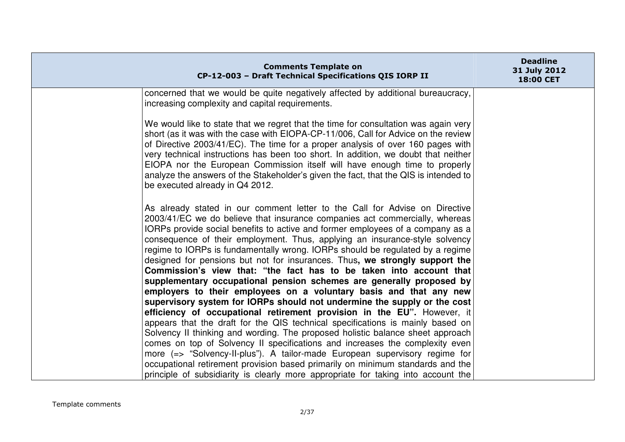| <b>Comments Template on</b><br>CP-12-003 - Draft Technical Specifications QIS IORP II                                                                                                                                                                                                                                                                                                                                                                                                                                                                                                                                                                                                                            | <b>Deadline</b><br>31 July 2012<br>18:00 CET |
|------------------------------------------------------------------------------------------------------------------------------------------------------------------------------------------------------------------------------------------------------------------------------------------------------------------------------------------------------------------------------------------------------------------------------------------------------------------------------------------------------------------------------------------------------------------------------------------------------------------------------------------------------------------------------------------------------------------|----------------------------------------------|
| concerned that we would be quite negatively affected by additional bureaucracy,<br>increasing complexity and capital requirements.                                                                                                                                                                                                                                                                                                                                                                                                                                                                                                                                                                               |                                              |
| We would like to state that we regret that the time for consultation was again very<br>short (as it was with the case with EIOPA-CP-11/006, Call for Advice on the review<br>of Directive 2003/41/EC). The time for a proper analysis of over 160 pages with<br>very technical instructions has been too short. In addition, we doubt that neither<br>EIOPA nor the European Commission itself will have enough time to properly<br>analyze the answers of the Stakeholder's given the fact, that the QIS is intended to<br>be executed already in Q4 2012.                                                                                                                                                      |                                              |
| As already stated in our comment letter to the Call for Advise on Directive<br>2003/41/EC we do believe that insurance companies act commercially, whereas<br>IORPs provide social benefits to active and former employees of a company as a<br>consequence of their employment. Thus, applying an insurance-style solvency<br>regime to IORPs is fundamentally wrong. IORPs should be regulated by a regime<br>designed for pensions but not for insurances. Thus, we strongly support the<br>Commission's view that: "the fact has to be taken into account that<br>supplementary occupational pension schemes are generally proposed by<br>employers to their employees on a voluntary basis and that any new |                                              |
| supervisory system for IORPs should not undermine the supply or the cost<br>efficiency of occupational retirement provision in the EU". However, it                                                                                                                                                                                                                                                                                                                                                                                                                                                                                                                                                              |                                              |
| appears that the draft for the QIS technical specifications is mainly based on<br>Solvency II thinking and wording. The proposed holistic balance sheet approach<br>comes on top of Solvency II specifications and increases the complexity even<br>more (=> "Solvency-II-plus"). A tailor-made European supervisory regime for                                                                                                                                                                                                                                                                                                                                                                                  |                                              |
| occupational retirement provision based primarily on minimum standards and the<br>principle of subsidiarity is clearly more appropriate for taking into account the                                                                                                                                                                                                                                                                                                                                                                                                                                                                                                                                              |                                              |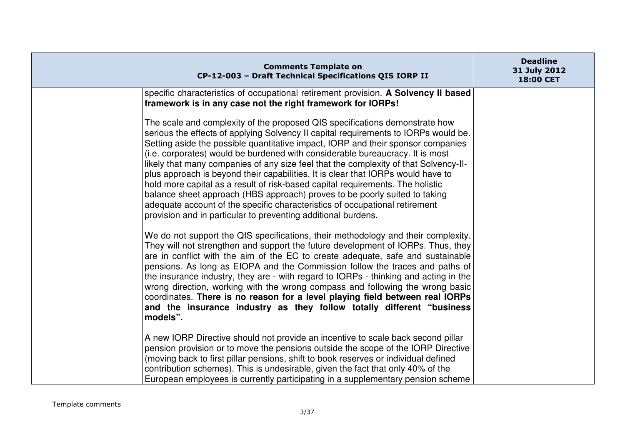| <b>Comments Template on</b><br>CP-12-003 - Draft Technical Specifications QIS IORP II                                                                                                                                                                                                                                                                                                                                                                                                                                                                                                                                                                                                                                                                                                                                               | <b>Deadline</b><br>31 July 2012<br>18:00 CET |
|-------------------------------------------------------------------------------------------------------------------------------------------------------------------------------------------------------------------------------------------------------------------------------------------------------------------------------------------------------------------------------------------------------------------------------------------------------------------------------------------------------------------------------------------------------------------------------------------------------------------------------------------------------------------------------------------------------------------------------------------------------------------------------------------------------------------------------------|----------------------------------------------|
| specific characteristics of occupational retirement provision. A Solvency II based<br>framework is in any case not the right framework for IORPs!                                                                                                                                                                                                                                                                                                                                                                                                                                                                                                                                                                                                                                                                                   |                                              |
| The scale and complexity of the proposed QIS specifications demonstrate how<br>serious the effects of applying Solvency II capital requirements to IORPs would be.<br>Setting aside the possible quantitative impact, IORP and their sponsor companies<br>(i.e. corporates) would be burdened with considerable bureaucracy. It is most<br>likely that many companies of any size feel that the complexity of that Solvency-II-<br>plus approach is beyond their capabilities. It is clear that IORPs would have to<br>hold more capital as a result of risk-based capital requirements. The holistic<br>balance sheet approach (HBS approach) proves to be poorly suited to taking<br>adequate account of the specific characteristics of occupational retirement<br>provision and in particular to preventing additional burdens. |                                              |
| We do not support the QIS specifications, their methodology and their complexity.<br>They will not strengthen and support the future development of IORPs. Thus, they<br>are in conflict with the aim of the EC to create adequate, safe and sustainable<br>pensions. As long as EIOPA and the Commission follow the traces and paths of<br>the insurance industry, they are - with regard to IORPs - thinking and acting in the<br>wrong direction, working with the wrong compass and following the wrong basic<br>coordinates. There is no reason for a level playing field between real IORPs<br>and the insurance industry as they follow totally different "business"<br>models".                                                                                                                                             |                                              |
| A new IORP Directive should not provide an incentive to scale back second pillar<br>pension provision or to move the pensions outside the scope of the IORP Directive<br>(moving back to first pillar pensions, shift to book reserves or individual defined<br>contribution schemes). This is undesirable, given the fact that only 40% of the<br>European employees is currently participating in a supplementary pension scheme                                                                                                                                                                                                                                                                                                                                                                                                  |                                              |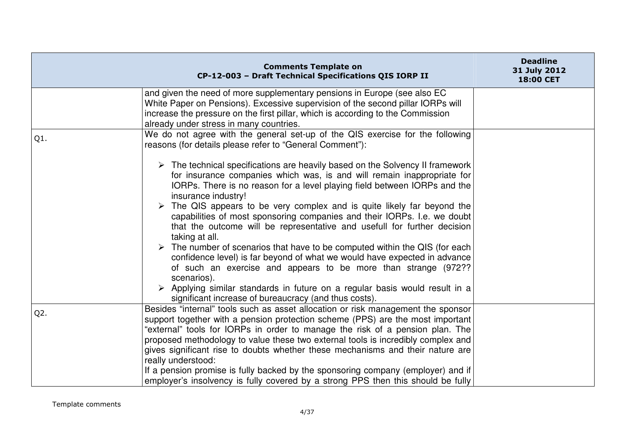|        | <b>Comments Template on</b><br>CP-12-003 - Draft Technical Specifications QIS IORP II                                                                                                                                                                                                                                                                                                                                                                                                                                                                                                                                                                                                                                                                                                                                                                                                                                                             | <b>Deadline</b><br>31 July 2012<br>18:00 CET |
|--------|---------------------------------------------------------------------------------------------------------------------------------------------------------------------------------------------------------------------------------------------------------------------------------------------------------------------------------------------------------------------------------------------------------------------------------------------------------------------------------------------------------------------------------------------------------------------------------------------------------------------------------------------------------------------------------------------------------------------------------------------------------------------------------------------------------------------------------------------------------------------------------------------------------------------------------------------------|----------------------------------------------|
|        | and given the need of more supplementary pensions in Europe (see also EC<br>White Paper on Pensions). Excessive supervision of the second pillar IORPs will<br>increase the pressure on the first pillar, which is according to the Commission<br>already under stress in many countries.                                                                                                                                                                                                                                                                                                                                                                                                                                                                                                                                                                                                                                                         |                                              |
| Q1.    | We do not agree with the general set-up of the QIS exercise for the following<br>reasons (for details please refer to "General Comment"):                                                                                                                                                                                                                                                                                                                                                                                                                                                                                                                                                                                                                                                                                                                                                                                                         |                                              |
|        | $\triangleright$ The technical specifications are heavily based on the Solvency II framework<br>for insurance companies which was, is and will remain inappropriate for<br>IORPs. There is no reason for a level playing field between IORPs and the<br>insurance industry!<br>The QIS appears to be very complex and is quite likely far beyond the<br>capabilities of most sponsoring companies and their IORPs. I.e. we doubt<br>that the outcome will be representative and usefull for further decision<br>taking at all.<br>$\triangleright$ The number of scenarios that have to be computed within the QIS (for each<br>confidence level) is far beyond of what we would have expected in advance<br>of such an exercise and appears to be more than strange (972??<br>scenarios).<br>$\triangleright$ Applying similar standards in future on a regular basis would result in a<br>significant increase of bureaucracy (and thus costs). |                                              |
| $Q2$ . | Besides "internal" tools such as asset allocation or risk management the sponsor<br>support together with a pension protection scheme (PPS) are the most important<br>"external" tools for IORPs in order to manage the risk of a pension plan. The<br>proposed methodology to value these two external tools is incredibly complex and<br>gives significant rise to doubts whether these mechanisms and their nature are<br>really understood:<br>If a pension promise is fully backed by the sponsoring company (employer) and if<br>employer's insolvency is fully covered by a strong PPS then this should be fully                                                                                                                                                                                                                                                                                                                           |                                              |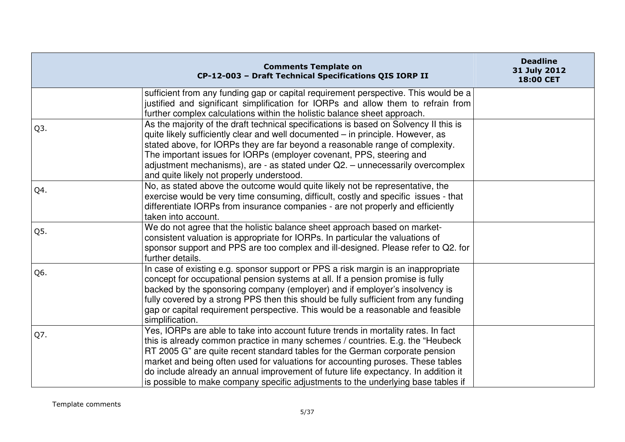|                  | <b>Comments Template on</b><br>CP-12-003 - Draft Technical Specifications QIS IORP II                                                                                                                                                                                                                                                                                                                                                                                                                               | <b>Deadline</b><br>31 July 2012<br>18:00 CET |
|------------------|---------------------------------------------------------------------------------------------------------------------------------------------------------------------------------------------------------------------------------------------------------------------------------------------------------------------------------------------------------------------------------------------------------------------------------------------------------------------------------------------------------------------|----------------------------------------------|
|                  | sufficient from any funding gap or capital requirement perspective. This would be a<br>justified and significant simplification for IORPs and allow them to refrain from<br>further complex calculations within the holistic balance sheet approach.                                                                                                                                                                                                                                                                |                                              |
| Q <sub>3</sub> . | As the majority of the draft technical specifications is based on Solvency II this is<br>quite likely sufficiently clear and well documented - in principle. However, as<br>stated above, for IORPs they are far beyond a reasonable range of complexity.<br>The important issues for IORPs (employer covenant, PPS, steering and<br>adjustment mechanisms), are - as stated under Q2. - unnecessarily overcomplex<br>and quite likely not properly understood.                                                     |                                              |
| Q4.              | No, as stated above the outcome would quite likely not be representative, the<br>exercise would be very time consuming, difficult, costly and specific issues - that<br>differentiate IORPs from insurance companies - are not properly and efficiently<br>taken into account.                                                                                                                                                                                                                                      |                                              |
| Q5.              | We do not agree that the holistic balance sheet approach based on market-<br>consistent valuation is appropriate for IORPs. In particular the valuations of<br>sponsor support and PPS are too complex and ill-designed. Please refer to Q2. for<br>further details.                                                                                                                                                                                                                                                |                                              |
| Q6.              | In case of existing e.g. sponsor support or PPS a risk margin is an inappropriate<br>concept for occupational pension systems at all. If a pension promise is fully<br>backed by the sponsoring company (employer) and if employer's insolvency is<br>fully covered by a strong PPS then this should be fully sufficient from any funding<br>gap or capital requirement perspective. This would be a reasonable and feasible<br>simplification.                                                                     |                                              |
| Q7.              | Yes, IORPs are able to take into account future trends in mortality rates. In fact<br>this is already common practice in many schemes / countries. E.g. the "Heubeck"<br>RT 2005 G" are quite recent standard tables for the German corporate pension<br>market and being often used for valuations for accounting puroses. These tables<br>do include already an annual improvement of future life expectancy. In addition it<br>is possible to make company specific adjustments to the underlying base tables if |                                              |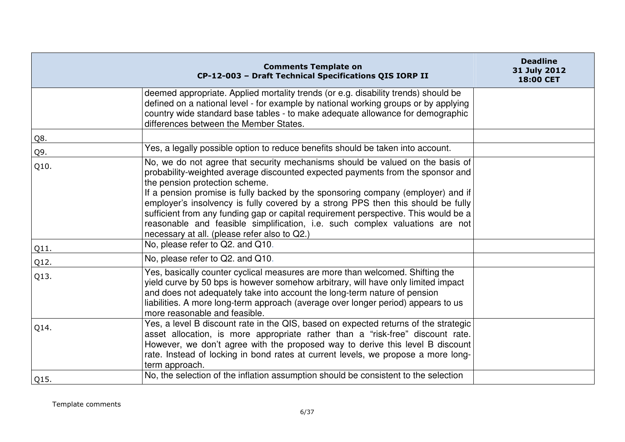|              | <b>Comments Template on</b><br>CP-12-003 - Draft Technical Specifications QIS IORP II                                                                                                                                                                                                                                                                                                                                                                                                                                                                                                                                                | <b>Deadline</b><br>31 July 2012<br>18:00 CET |
|--------------|--------------------------------------------------------------------------------------------------------------------------------------------------------------------------------------------------------------------------------------------------------------------------------------------------------------------------------------------------------------------------------------------------------------------------------------------------------------------------------------------------------------------------------------------------------------------------------------------------------------------------------------|----------------------------------------------|
|              | deemed appropriate. Applied mortality trends (or e.g. disability trends) should be<br>defined on a national level - for example by national working groups or by applying<br>country wide standard base tables - to make adequate allowance for demographic<br>differences between the Member States.                                                                                                                                                                                                                                                                                                                                |                                              |
| Q8.          |                                                                                                                                                                                                                                                                                                                                                                                                                                                                                                                                                                                                                                      |                                              |
| Q9.          | Yes, a legally possible option to reduce benefits should be taken into account.                                                                                                                                                                                                                                                                                                                                                                                                                                                                                                                                                      |                                              |
| Q10.         | No, we do not agree that security mechanisms should be valued on the basis of<br>probability-weighted average discounted expected payments from the sponsor and<br>the pension protection scheme.<br>If a pension promise is fully backed by the sponsoring company (employer) and if<br>employer's insolvency is fully covered by a strong PPS then this should be fully<br>sufficient from any funding gap or capital requirement perspective. This would be a<br>reasonable and feasible simplification, i.e. such complex valuations are not<br>necessary at all. (please refer also to Q2.)<br>No, please refer to Q2. and Q10. |                                              |
| Q11.         | No, please refer to Q2, and Q10.                                                                                                                                                                                                                                                                                                                                                                                                                                                                                                                                                                                                     |                                              |
| Q12.<br>Q13. | Yes, basically counter cyclical measures are more than welcomed. Shifting the<br>yield curve by 50 bps is however somehow arbitrary, will have only limited impact<br>and does not adequately take into account the long-term nature of pension<br>liabilities. A more long-term approach (average over longer period) appears to us<br>more reasonable and feasible.                                                                                                                                                                                                                                                                |                                              |
| Q14.         | Yes, a level B discount rate in the QIS, based on expected returns of the strategic<br>asset allocation, is more appropriate rather than a "risk-free" discount rate.<br>However, we don't agree with the proposed way to derive this level B discount<br>rate. Instead of locking in bond rates at current levels, we propose a more long-<br>term approach.                                                                                                                                                                                                                                                                        |                                              |
| Q15.         | No, the selection of the inflation assumption should be consistent to the selection                                                                                                                                                                                                                                                                                                                                                                                                                                                                                                                                                  |                                              |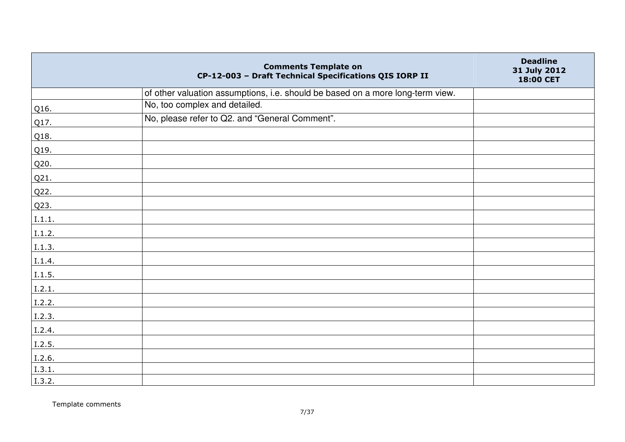|        | <b>Comments Template on</b><br>CP-12-003 - Draft Technical Specifications QIS IORP II | <b>Deadline</b><br>31 July 2012<br>18:00 CET |
|--------|---------------------------------------------------------------------------------------|----------------------------------------------|
|        | of other valuation assumptions, i.e. should be based on a more long-term view.        |                                              |
| Q16.   | No, too complex and detailed.                                                         |                                              |
| Q17.   | No, please refer to Q2. and "General Comment".                                        |                                              |
| Q18.   |                                                                                       |                                              |
| Q19.   |                                                                                       |                                              |
| Q20.   |                                                                                       |                                              |
| Q21.   |                                                                                       |                                              |
| Q22.   |                                                                                       |                                              |
| Q23.   |                                                                                       |                                              |
| I.1.1. |                                                                                       |                                              |
| I.1.2. |                                                                                       |                                              |
| I.1.3. |                                                                                       |                                              |
| I.1.4. |                                                                                       |                                              |
| I.1.5. |                                                                                       |                                              |
| I.2.1. |                                                                                       |                                              |
| I.2.2. |                                                                                       |                                              |
| I.2.3. |                                                                                       |                                              |
| I.2.4. |                                                                                       |                                              |
| I.2.5. |                                                                                       |                                              |
| I.2.6. |                                                                                       |                                              |
| I.3.1. |                                                                                       |                                              |
| 1.3.2. |                                                                                       |                                              |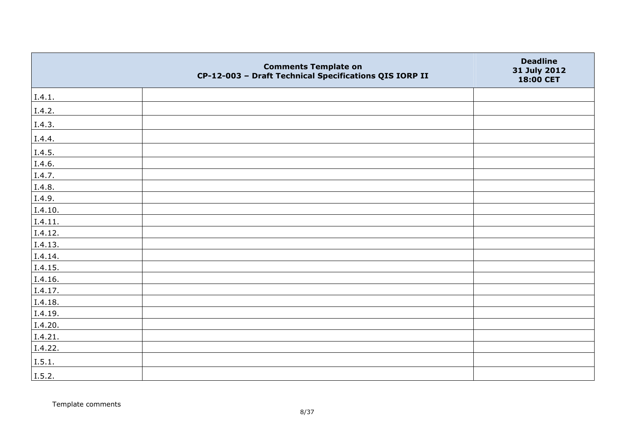|         | <b>Comments Template on</b><br>CP-12-003 - Draft Technical Specifications QIS IORP II | <b>Deadline</b><br>31 July 2012<br>18:00 CET |
|---------|---------------------------------------------------------------------------------------|----------------------------------------------|
| I.4.1.  |                                                                                       |                                              |
| I.4.2.  |                                                                                       |                                              |
| I.4.3.  |                                                                                       |                                              |
| I.4.4.  |                                                                                       |                                              |
| I.4.5.  |                                                                                       |                                              |
| I.4.6.  |                                                                                       |                                              |
| I.4.7.  |                                                                                       |                                              |
| I.4.8.  |                                                                                       |                                              |
| I.4.9.  |                                                                                       |                                              |
| I.4.10. |                                                                                       |                                              |
| I.4.11. |                                                                                       |                                              |
| I.4.12. |                                                                                       |                                              |
| I.4.13. |                                                                                       |                                              |
| I.4.14. |                                                                                       |                                              |
| I.4.15. |                                                                                       |                                              |
| I.4.16. |                                                                                       |                                              |
| I.4.17. |                                                                                       |                                              |
| I.4.18. |                                                                                       |                                              |
| I.4.19. |                                                                                       |                                              |
| I.4.20. |                                                                                       |                                              |
| I.4.21. |                                                                                       |                                              |
| I.4.22. |                                                                                       |                                              |
| I.5.1.  |                                                                                       |                                              |
| I.5.2.  |                                                                                       |                                              |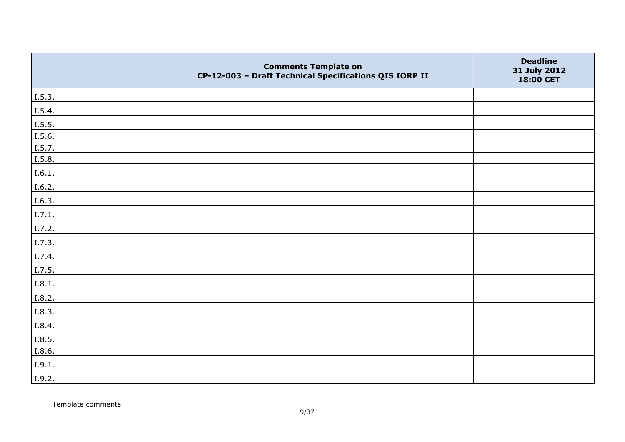|        | <b>Comments Template on</b><br>CP-12-003 - Draft Technical Specifications QIS IORP II | <b>Deadline</b><br>31 July 2012<br>18:00 CET |
|--------|---------------------------------------------------------------------------------------|----------------------------------------------|
| I.5.3. |                                                                                       |                                              |
| I.5.4. |                                                                                       |                                              |
| I.5.5. |                                                                                       |                                              |
| I.5.6. |                                                                                       |                                              |
| I.5.7. |                                                                                       |                                              |
| I.5.8. |                                                                                       |                                              |
| I.6.1. |                                                                                       |                                              |
| I.6.2. |                                                                                       |                                              |
| I.6.3. |                                                                                       |                                              |
| I.7.1. |                                                                                       |                                              |
| I.7.2. |                                                                                       |                                              |
| I.7.3. |                                                                                       |                                              |
| I.7.4. |                                                                                       |                                              |
| I.7.5. |                                                                                       |                                              |
| I.8.1. |                                                                                       |                                              |
| I.8.2. |                                                                                       |                                              |
| I.8.3. |                                                                                       |                                              |
| I.8.4. |                                                                                       |                                              |
| I.8.5. |                                                                                       |                                              |
| I.8.6. |                                                                                       |                                              |
| I.9.1. |                                                                                       |                                              |
| I.9.2. |                                                                                       |                                              |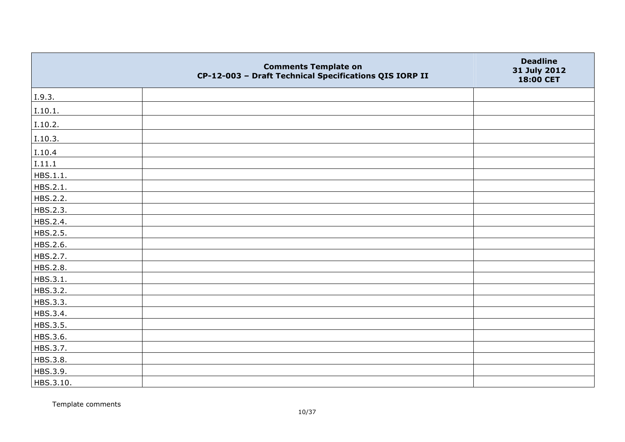|           | <b>Comments Template on</b><br>CP-12-003 - Draft Technical Specifications QIS IORP II | <b>Deadline</b><br>31 July 2012<br>18:00 CET |
|-----------|---------------------------------------------------------------------------------------|----------------------------------------------|
| I.9.3.    |                                                                                       |                                              |
| I.10.1.   |                                                                                       |                                              |
| I.10.2.   |                                                                                       |                                              |
| I.10.3.   |                                                                                       |                                              |
| I.10.4    |                                                                                       |                                              |
| I.11.1    |                                                                                       |                                              |
| HBS.1.1.  |                                                                                       |                                              |
| HBS.2.1.  |                                                                                       |                                              |
| HBS.2.2.  |                                                                                       |                                              |
| HBS.2.3.  |                                                                                       |                                              |
| HBS.2.4.  |                                                                                       |                                              |
| HBS.2.5.  |                                                                                       |                                              |
| HBS.2.6.  |                                                                                       |                                              |
| HBS.2.7.  |                                                                                       |                                              |
| HBS.2.8.  |                                                                                       |                                              |
| HBS.3.1.  |                                                                                       |                                              |
| HBS.3.2.  |                                                                                       |                                              |
| HBS.3.3.  |                                                                                       |                                              |
| HBS.3.4.  |                                                                                       |                                              |
| HBS.3.5.  |                                                                                       |                                              |
| HBS.3.6.  |                                                                                       |                                              |
| HBS.3.7.  |                                                                                       |                                              |
| HBS.3.8.  |                                                                                       |                                              |
| HBS.3.9.  |                                                                                       |                                              |
| HBS.3.10. |                                                                                       |                                              |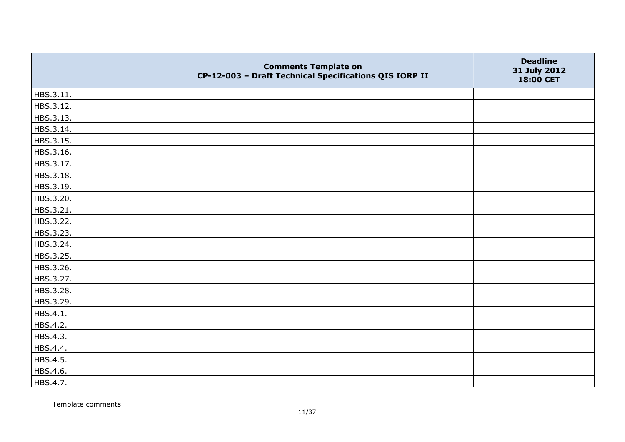|           | <b>Comments Template on</b><br>CP-12-003 - Draft Technical Specifications QIS IORP II | <b>Deadline</b><br>31 July 2012<br>18:00 CET |
|-----------|---------------------------------------------------------------------------------------|----------------------------------------------|
| HBS.3.11. |                                                                                       |                                              |
| HBS.3.12. |                                                                                       |                                              |
| HBS.3.13. |                                                                                       |                                              |
| HBS.3.14. |                                                                                       |                                              |
| HBS.3.15. |                                                                                       |                                              |
| HBS.3.16. |                                                                                       |                                              |
| HBS.3.17. |                                                                                       |                                              |
| HBS.3.18. |                                                                                       |                                              |
| HBS.3.19. |                                                                                       |                                              |
| HBS.3.20. |                                                                                       |                                              |
| HBS.3.21. |                                                                                       |                                              |
| HBS.3.22. |                                                                                       |                                              |
| HBS.3.23. |                                                                                       |                                              |
| HBS.3.24. |                                                                                       |                                              |
| HBS.3.25. |                                                                                       |                                              |
| HBS.3.26. |                                                                                       |                                              |
| HBS.3.27. |                                                                                       |                                              |
| HBS.3.28. |                                                                                       |                                              |
| HBS.3.29. |                                                                                       |                                              |
| HBS.4.1.  |                                                                                       |                                              |
| HBS.4.2.  |                                                                                       |                                              |
| HBS.4.3.  |                                                                                       |                                              |
| HBS.4.4.  |                                                                                       |                                              |
| HBS.4.5.  |                                                                                       |                                              |
| HBS.4.6.  |                                                                                       |                                              |
| HBS.4.7.  |                                                                                       |                                              |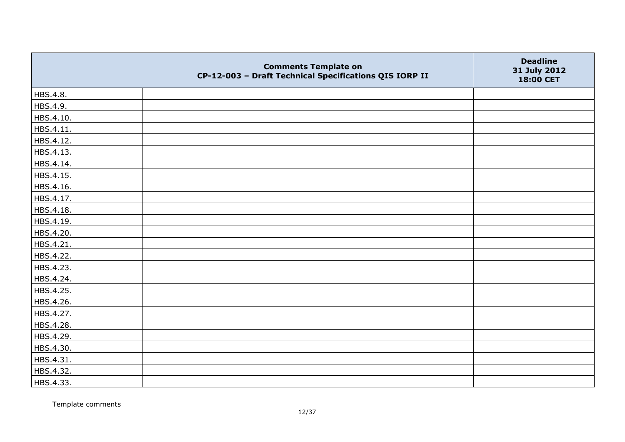|           | <b>Comments Template on</b><br>CP-12-003 - Draft Technical Specifications QIS IORP II | <b>Deadline</b><br>31 July 2012<br>18:00 CET |
|-----------|---------------------------------------------------------------------------------------|----------------------------------------------|
| HBS.4.8.  |                                                                                       |                                              |
| HBS.4.9.  |                                                                                       |                                              |
| HBS.4.10. |                                                                                       |                                              |
| HBS.4.11. |                                                                                       |                                              |
| HBS.4.12. |                                                                                       |                                              |
| HBS.4.13. |                                                                                       |                                              |
| HBS.4.14. |                                                                                       |                                              |
| HBS.4.15. |                                                                                       |                                              |
| HBS.4.16. |                                                                                       |                                              |
| HBS.4.17. |                                                                                       |                                              |
| HBS.4.18. |                                                                                       |                                              |
| HBS.4.19. |                                                                                       |                                              |
| HBS.4.20. |                                                                                       |                                              |
| HBS.4.21. |                                                                                       |                                              |
| HBS.4.22. |                                                                                       |                                              |
| HBS.4.23. |                                                                                       |                                              |
| HBS.4.24. |                                                                                       |                                              |
| HBS.4.25. |                                                                                       |                                              |
| HBS.4.26. |                                                                                       |                                              |
| HBS.4.27. |                                                                                       |                                              |
| HBS.4.28. |                                                                                       |                                              |
| HBS.4.29. |                                                                                       |                                              |
| HBS.4.30. |                                                                                       |                                              |
| HBS.4.31. |                                                                                       |                                              |
| HBS.4.32. |                                                                                       |                                              |
| HBS.4.33. |                                                                                       |                                              |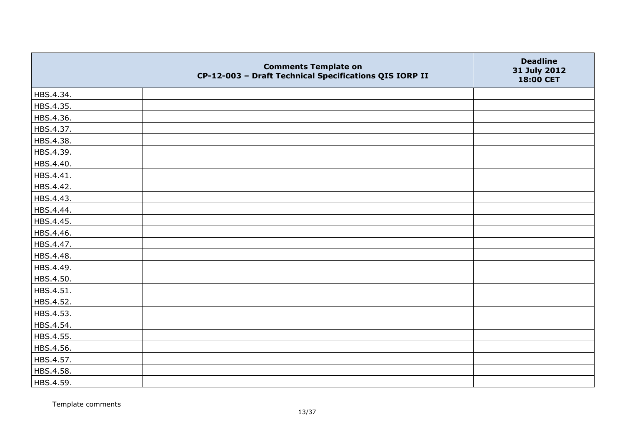|           | <b>Comments Template on</b><br>CP-12-003 - Draft Technical Specifications QIS IORP II | <b>Deadline</b><br>31 July 2012<br>18:00 CET |
|-----------|---------------------------------------------------------------------------------------|----------------------------------------------|
| HBS.4.34. |                                                                                       |                                              |
| HBS.4.35. |                                                                                       |                                              |
| HBS.4.36. |                                                                                       |                                              |
| HBS.4.37. |                                                                                       |                                              |
| HBS.4.38. |                                                                                       |                                              |
| HBS.4.39. |                                                                                       |                                              |
| HBS.4.40. |                                                                                       |                                              |
| HBS.4.41. |                                                                                       |                                              |
| HBS.4.42. |                                                                                       |                                              |
| HBS.4.43. |                                                                                       |                                              |
| HBS.4.44. |                                                                                       |                                              |
| HBS.4.45. |                                                                                       |                                              |
| HBS.4.46. |                                                                                       |                                              |
| HBS.4.47. |                                                                                       |                                              |
| HBS.4.48. |                                                                                       |                                              |
| HBS.4.49. |                                                                                       |                                              |
| HBS.4.50. |                                                                                       |                                              |
| HBS.4.51. |                                                                                       |                                              |
| HBS.4.52. |                                                                                       |                                              |
| HBS.4.53. |                                                                                       |                                              |
| HBS.4.54. |                                                                                       |                                              |
| HBS.4.55. |                                                                                       |                                              |
| HBS.4.56. |                                                                                       |                                              |
| HBS.4.57. |                                                                                       |                                              |
| HBS.4.58. |                                                                                       |                                              |
| HBS.4.59. |                                                                                       |                                              |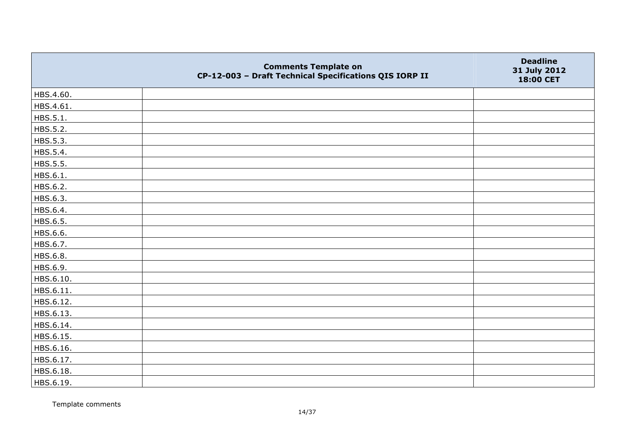|           | <b>Comments Template on</b><br>CP-12-003 - Draft Technical Specifications QIS IORP II | <b>Deadline</b><br>31 July 2012<br>18:00 CET |
|-----------|---------------------------------------------------------------------------------------|----------------------------------------------|
| HBS.4.60. |                                                                                       |                                              |
| HBS.4.61. |                                                                                       |                                              |
| HBS.5.1.  |                                                                                       |                                              |
| HBS.5.2.  |                                                                                       |                                              |
| HBS.5.3.  |                                                                                       |                                              |
| HBS.5.4.  |                                                                                       |                                              |
| HBS.5.5.  |                                                                                       |                                              |
| HBS.6.1.  |                                                                                       |                                              |
| HBS.6.2.  |                                                                                       |                                              |
| HBS.6.3.  |                                                                                       |                                              |
| HBS.6.4.  |                                                                                       |                                              |
| HBS.6.5.  |                                                                                       |                                              |
| HBS.6.6.  |                                                                                       |                                              |
| HBS.6.7.  |                                                                                       |                                              |
| HBS.6.8.  |                                                                                       |                                              |
| HBS.6.9.  |                                                                                       |                                              |
| HBS.6.10. |                                                                                       |                                              |
| HBS.6.11. |                                                                                       |                                              |
| HBS.6.12. |                                                                                       |                                              |
| HBS.6.13. |                                                                                       |                                              |
| HBS.6.14. |                                                                                       |                                              |
| HBS.6.15. |                                                                                       |                                              |
| HBS.6.16. |                                                                                       |                                              |
| HBS.6.17. |                                                                                       |                                              |
| HBS.6.18. |                                                                                       |                                              |
| HBS.6.19. |                                                                                       |                                              |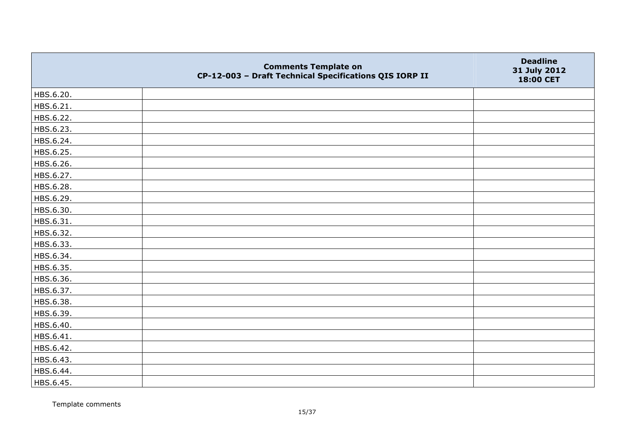|           | <b>Comments Template on</b><br>CP-12-003 - Draft Technical Specifications QIS IORP II | <b>Deadline</b><br>31 July 2012<br>18:00 CET |
|-----------|---------------------------------------------------------------------------------------|----------------------------------------------|
| HBS.6.20. |                                                                                       |                                              |
| HBS.6.21. |                                                                                       |                                              |
| HBS.6.22. |                                                                                       |                                              |
| HBS.6.23. |                                                                                       |                                              |
| HBS.6.24. |                                                                                       |                                              |
| HBS.6.25. |                                                                                       |                                              |
| HBS.6.26. |                                                                                       |                                              |
| HBS.6.27. |                                                                                       |                                              |
| HBS.6.28. |                                                                                       |                                              |
| HBS.6.29. |                                                                                       |                                              |
| HBS.6.30. |                                                                                       |                                              |
| HBS.6.31. |                                                                                       |                                              |
| HBS.6.32. |                                                                                       |                                              |
| HBS.6.33. |                                                                                       |                                              |
| HBS.6.34. |                                                                                       |                                              |
| HBS.6.35. |                                                                                       |                                              |
| HBS.6.36. |                                                                                       |                                              |
| HBS.6.37. |                                                                                       |                                              |
| HBS.6.38. |                                                                                       |                                              |
| HBS.6.39. |                                                                                       |                                              |
| HBS.6.40. |                                                                                       |                                              |
| HBS.6.41. |                                                                                       |                                              |
| HBS.6.42. |                                                                                       |                                              |
| HBS.6.43. |                                                                                       |                                              |
| HBS.6.44. |                                                                                       |                                              |
| HBS.6.45. |                                                                                       |                                              |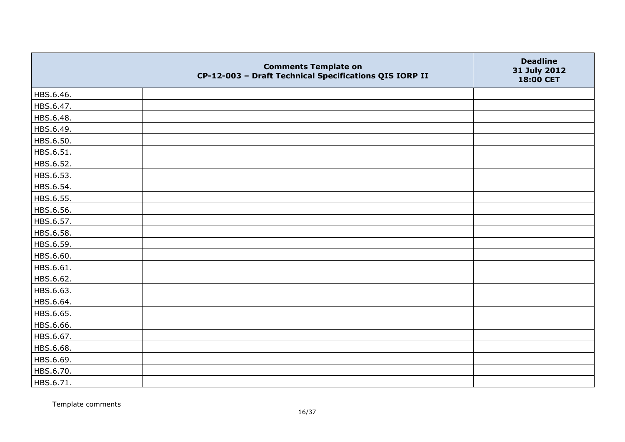|           | <b>Comments Template on</b><br>CP-12-003 - Draft Technical Specifications QIS IORP II | <b>Deadline</b><br>31 July 2012<br>18:00 CET |
|-----------|---------------------------------------------------------------------------------------|----------------------------------------------|
| HBS.6.46. |                                                                                       |                                              |
| HBS.6.47. |                                                                                       |                                              |
| HBS.6.48. |                                                                                       |                                              |
| HBS.6.49. |                                                                                       |                                              |
| HBS.6.50. |                                                                                       |                                              |
| HBS.6.51. |                                                                                       |                                              |
| HBS.6.52. |                                                                                       |                                              |
| HBS.6.53. |                                                                                       |                                              |
| HBS.6.54. |                                                                                       |                                              |
| HBS.6.55. |                                                                                       |                                              |
| HBS.6.56. |                                                                                       |                                              |
| HBS.6.57. |                                                                                       |                                              |
| HBS.6.58. |                                                                                       |                                              |
| HBS.6.59. |                                                                                       |                                              |
| HBS.6.60. |                                                                                       |                                              |
| HBS.6.61. |                                                                                       |                                              |
| HBS.6.62. |                                                                                       |                                              |
| HBS.6.63. |                                                                                       |                                              |
| HBS.6.64. |                                                                                       |                                              |
| HBS.6.65. |                                                                                       |                                              |
| HBS.6.66. |                                                                                       |                                              |
| HBS.6.67. |                                                                                       |                                              |
| HBS.6.68. |                                                                                       |                                              |
| HBS.6.69. |                                                                                       |                                              |
| HBS.6.70. |                                                                                       |                                              |
| HBS.6.71. |                                                                                       |                                              |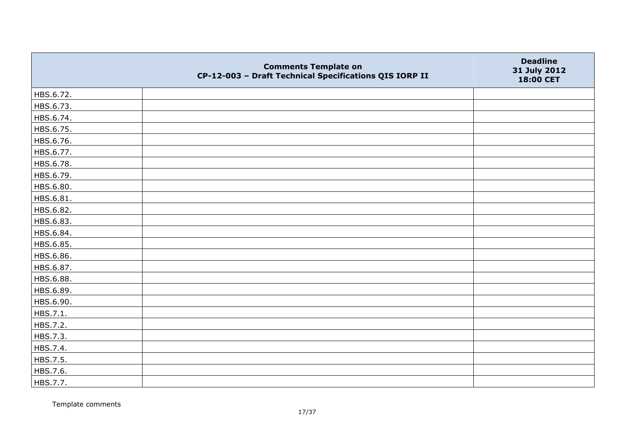|           | <b>Comments Template on</b><br>CP-12-003 - Draft Technical Specifications QIS IORP II | <b>Deadline</b><br>31 July 2012<br>18:00 CET |
|-----------|---------------------------------------------------------------------------------------|----------------------------------------------|
| HBS.6.72. |                                                                                       |                                              |
| HBS.6.73. |                                                                                       |                                              |
| HBS.6.74. |                                                                                       |                                              |
| HBS.6.75. |                                                                                       |                                              |
| HBS.6.76. |                                                                                       |                                              |
| HBS.6.77. |                                                                                       |                                              |
| HBS.6.78. |                                                                                       |                                              |
| HBS.6.79. |                                                                                       |                                              |
| HBS.6.80. |                                                                                       |                                              |
| HBS.6.81. |                                                                                       |                                              |
| HBS.6.82. |                                                                                       |                                              |
| HBS.6.83. |                                                                                       |                                              |
| HBS.6.84. |                                                                                       |                                              |
| HBS.6.85. |                                                                                       |                                              |
| HBS.6.86. |                                                                                       |                                              |
| HBS.6.87. |                                                                                       |                                              |
| HBS.6.88. |                                                                                       |                                              |
| HBS.6.89. |                                                                                       |                                              |
| HBS.6.90. |                                                                                       |                                              |
| HBS.7.1.  |                                                                                       |                                              |
| HBS.7.2.  |                                                                                       |                                              |
| HBS.7.3.  |                                                                                       |                                              |
| HBS.7.4.  |                                                                                       |                                              |
| HBS.7.5.  |                                                                                       |                                              |
| HBS.7.6.  |                                                                                       |                                              |
| HBS.7.7.  |                                                                                       |                                              |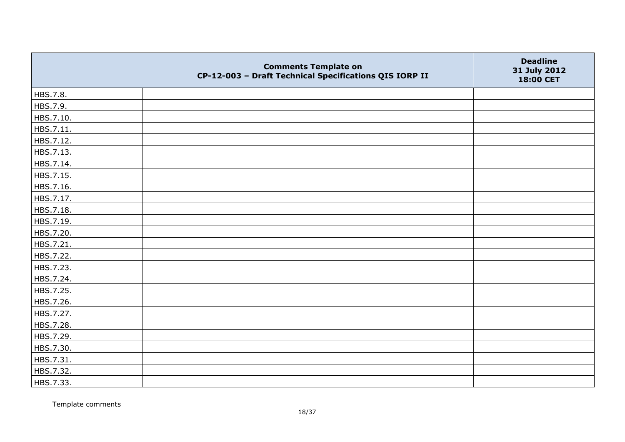|           | <b>Comments Template on</b><br>CP-12-003 - Draft Technical Specifications QIS IORP II | <b>Deadline</b><br>31 July 2012<br>18:00 CET |
|-----------|---------------------------------------------------------------------------------------|----------------------------------------------|
| HBS.7.8.  |                                                                                       |                                              |
| HBS.7.9.  |                                                                                       |                                              |
| HBS.7.10. |                                                                                       |                                              |
| HBS.7.11. |                                                                                       |                                              |
| HBS.7.12. |                                                                                       |                                              |
| HBS.7.13. |                                                                                       |                                              |
| HBS.7.14. |                                                                                       |                                              |
| HBS.7.15. |                                                                                       |                                              |
| HBS.7.16. |                                                                                       |                                              |
| HBS.7.17. |                                                                                       |                                              |
| HBS.7.18. |                                                                                       |                                              |
| HBS.7.19. |                                                                                       |                                              |
| HBS.7.20. |                                                                                       |                                              |
| HBS.7.21. |                                                                                       |                                              |
| HBS.7.22. |                                                                                       |                                              |
| HBS.7.23. |                                                                                       |                                              |
| HBS.7.24. |                                                                                       |                                              |
| HBS.7.25. |                                                                                       |                                              |
| HBS.7.26. |                                                                                       |                                              |
| HBS.7.27. |                                                                                       |                                              |
| HBS.7.28. |                                                                                       |                                              |
| HBS.7.29. |                                                                                       |                                              |
| HBS.7.30. |                                                                                       |                                              |
| HBS.7.31. |                                                                                       |                                              |
| HBS.7.32. |                                                                                       |                                              |
| HBS.7.33. |                                                                                       |                                              |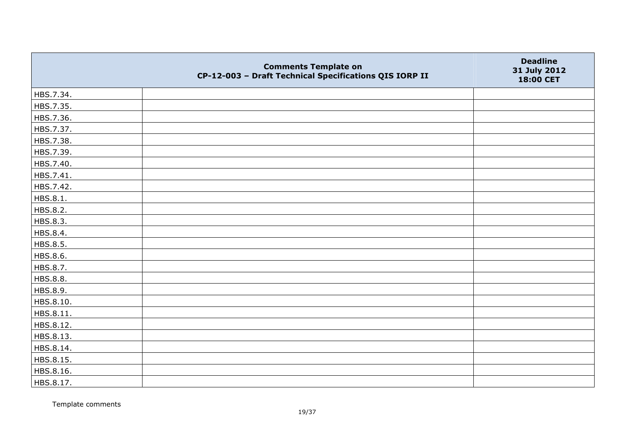|           | <b>Comments Template on</b><br>CP-12-003 - Draft Technical Specifications QIS IORP II | <b>Deadline</b><br>31 July 2012<br>18:00 CET |
|-----------|---------------------------------------------------------------------------------------|----------------------------------------------|
| HBS.7.34. |                                                                                       |                                              |
| HBS.7.35. |                                                                                       |                                              |
| HBS.7.36. |                                                                                       |                                              |
| HBS.7.37. |                                                                                       |                                              |
| HBS.7.38. |                                                                                       |                                              |
| HBS.7.39. |                                                                                       |                                              |
| HBS.7.40. |                                                                                       |                                              |
| HBS.7.41. |                                                                                       |                                              |
| HBS.7.42. |                                                                                       |                                              |
| HBS.8.1.  |                                                                                       |                                              |
| HBS.8.2.  |                                                                                       |                                              |
| HBS.8.3.  |                                                                                       |                                              |
| HBS.8.4.  |                                                                                       |                                              |
| HBS.8.5.  |                                                                                       |                                              |
| HBS.8.6.  |                                                                                       |                                              |
| HBS.8.7.  |                                                                                       |                                              |
| HBS.8.8.  |                                                                                       |                                              |
| HBS.8.9.  |                                                                                       |                                              |
| HBS.8.10. |                                                                                       |                                              |
| HBS.8.11. |                                                                                       |                                              |
| HBS.8.12. |                                                                                       |                                              |
| HBS.8.13. |                                                                                       |                                              |
| HBS.8.14. |                                                                                       |                                              |
| HBS.8.15. |                                                                                       |                                              |
| HBS.8.16. |                                                                                       |                                              |
| HBS.8.17. |                                                                                       |                                              |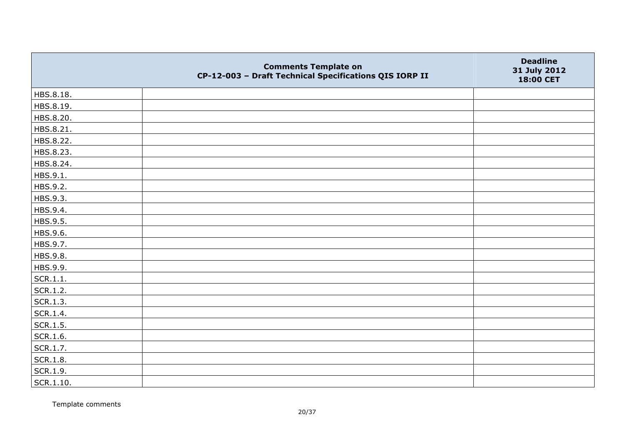|              | <b>Comments Template on</b><br>CP-12-003 - Draft Technical Specifications QIS IORP II | <b>Deadline</b><br>31 July 2012<br>18:00 CET |
|--------------|---------------------------------------------------------------------------------------|----------------------------------------------|
| HBS.8.18.    |                                                                                       |                                              |
| HBS.8.19.    |                                                                                       |                                              |
| HBS.8.20.    |                                                                                       |                                              |
| HBS.8.21.    |                                                                                       |                                              |
| HBS.8.22.    |                                                                                       |                                              |
| HBS.8.23.    |                                                                                       |                                              |
| HBS.8.24.    |                                                                                       |                                              |
| HBS.9.1.     |                                                                                       |                                              |
| HBS.9.2.     |                                                                                       |                                              |
| HBS.9.3.     |                                                                                       |                                              |
| HBS.9.4.     |                                                                                       |                                              |
| HBS.9.5.     |                                                                                       |                                              |
| HBS.9.6.     |                                                                                       |                                              |
| HBS.9.7.     |                                                                                       |                                              |
| HBS.9.8.     |                                                                                       |                                              |
| HBS.9.9.     |                                                                                       |                                              |
| SCR.1.1.     |                                                                                       |                                              |
| SCR.1.2.     |                                                                                       |                                              |
| SCR.1.3.     |                                                                                       |                                              |
| SCR.1.4.     |                                                                                       |                                              |
| $ $ SCR.1.5. |                                                                                       |                                              |
| SCR.1.6.     |                                                                                       |                                              |
| SCR.1.7.     |                                                                                       |                                              |
| SCR.1.8.     |                                                                                       |                                              |
| SCR.1.9.     |                                                                                       |                                              |
| SCR.1.10.    |                                                                                       |                                              |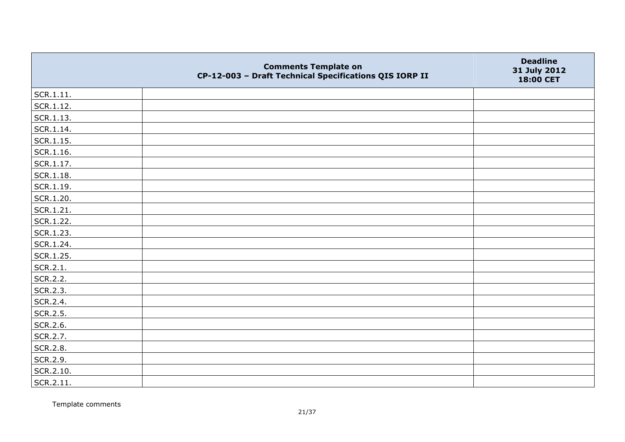|                   | <b>Comments Template on</b><br>CP-12-003 - Draft Technical Specifications QIS IORP II | <b>Deadline</b><br>31 July 2012<br>18:00 CET |
|-------------------|---------------------------------------------------------------------------------------|----------------------------------------------|
| SCR.1.11.         |                                                                                       |                                              |
| SCR.1.12.         |                                                                                       |                                              |
| SCR.1.13.         |                                                                                       |                                              |
| SCR.1.14.         |                                                                                       |                                              |
| SCR.1.15.         |                                                                                       |                                              |
| SCR.1.16.         |                                                                                       |                                              |
| $\vert$ SCR.1.17. |                                                                                       |                                              |
| SCR.1.18.         |                                                                                       |                                              |
| $ $ SCR.1.19.     |                                                                                       |                                              |
| SCR.1.20.         |                                                                                       |                                              |
| SCR.1.21.         |                                                                                       |                                              |
| SCR.1.22.         |                                                                                       |                                              |
| SCR.1.23.         |                                                                                       |                                              |
| SCR.1.24.         |                                                                                       |                                              |
| SCR.1.25.         |                                                                                       |                                              |
| SCR.2.1.          |                                                                                       |                                              |
| SCR.2.2.          |                                                                                       |                                              |
| SCR.2.3.          |                                                                                       |                                              |
| SCR.2.4.          |                                                                                       |                                              |
| SCR.2.5.          |                                                                                       |                                              |
| SCR.2.6.          |                                                                                       |                                              |
| SCR.2.7.          |                                                                                       |                                              |
| SCR.2.8.          |                                                                                       |                                              |
| SCR.2.9.          |                                                                                       |                                              |
| SCR.2.10.         |                                                                                       |                                              |
| $ $ SCR.2.11.     |                                                                                       |                                              |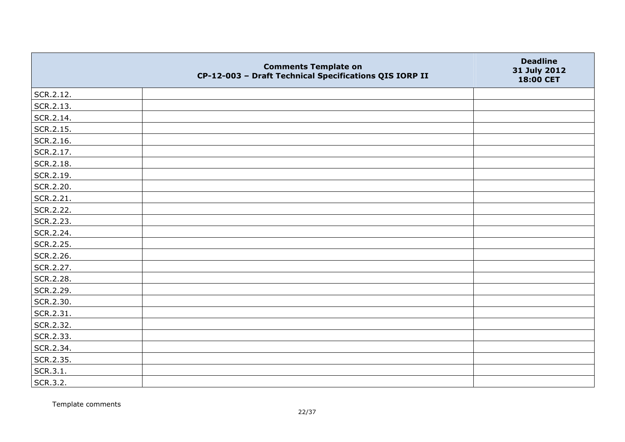|           | <b>Comments Template on</b><br>CP-12-003 - Draft Technical Specifications QIS IORP II | <b>Deadline</b><br>31 July 2012<br>18:00 CET |
|-----------|---------------------------------------------------------------------------------------|----------------------------------------------|
| SCR.2.12. |                                                                                       |                                              |
| SCR.2.13. |                                                                                       |                                              |
| SCR.2.14. |                                                                                       |                                              |
| SCR.2.15. |                                                                                       |                                              |
| SCR.2.16. |                                                                                       |                                              |
| SCR.2.17. |                                                                                       |                                              |
| SCR.2.18. |                                                                                       |                                              |
| SCR.2.19. |                                                                                       |                                              |
| SCR.2.20. |                                                                                       |                                              |
| SCR.2.21. |                                                                                       |                                              |
| SCR.2.22. |                                                                                       |                                              |
| SCR.2.23. |                                                                                       |                                              |
| SCR.2.24. |                                                                                       |                                              |
| SCR.2.25. |                                                                                       |                                              |
| SCR.2.26. |                                                                                       |                                              |
| SCR.2.27. |                                                                                       |                                              |
| SCR.2.28. |                                                                                       |                                              |
| SCR.2.29. |                                                                                       |                                              |
| SCR.2.30. |                                                                                       |                                              |
| SCR.2.31. |                                                                                       |                                              |
| SCR.2.32. |                                                                                       |                                              |
| SCR.2.33. |                                                                                       |                                              |
| SCR.2.34. |                                                                                       |                                              |
| SCR.2.35. |                                                                                       |                                              |
| SCR.3.1.  |                                                                                       |                                              |
| SCR.3.2.  |                                                                                       |                                              |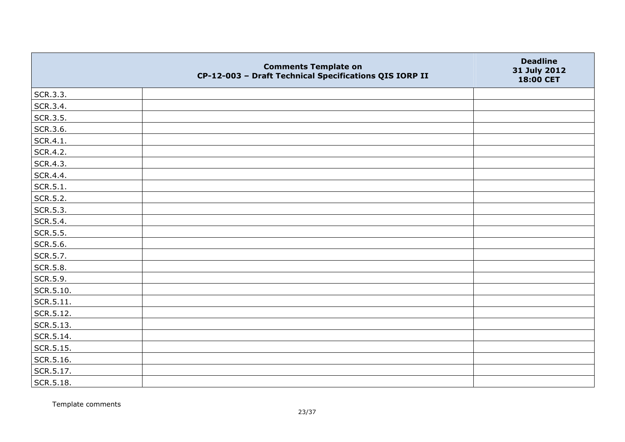|                   | <b>Comments Template on</b><br>CP-12-003 - Draft Technical Specifications QIS IORP II | <b>Deadline</b><br>31 July 2012<br>18:00 CET |
|-------------------|---------------------------------------------------------------------------------------|----------------------------------------------|
| SCR.3.3.          |                                                                                       |                                              |
| SCR.3.4.          |                                                                                       |                                              |
| SCR.3.5.          |                                                                                       |                                              |
| SCR.3.6.          |                                                                                       |                                              |
| SCR.4.1.          |                                                                                       |                                              |
| SCR.4.2.          |                                                                                       |                                              |
| SCR.4.3.          |                                                                                       |                                              |
| SCR.4.4.          |                                                                                       |                                              |
| SCR.5.1.          |                                                                                       |                                              |
| SCR.5.2.          |                                                                                       |                                              |
| SCR.5.3.          |                                                                                       |                                              |
| SCR.5.4.          |                                                                                       |                                              |
| SCR.5.5.          |                                                                                       |                                              |
| SCR.5.6.          |                                                                                       |                                              |
| SCR.5.7.          |                                                                                       |                                              |
| SCR.5.8.          |                                                                                       |                                              |
| SCR.5.9.          |                                                                                       |                                              |
| SCR.5.10.         |                                                                                       |                                              |
| SCR.5.11.         |                                                                                       |                                              |
| SCR.5.12.         |                                                                                       |                                              |
| SCR.5.13.         |                                                                                       |                                              |
| $\vert$ SCR.5.14. |                                                                                       |                                              |
| SCR.5.15.         |                                                                                       |                                              |
| $\vert$ SCR.5.16. |                                                                                       |                                              |
| SCR.5.17.         |                                                                                       |                                              |
| SCR.5.18.         |                                                                                       |                                              |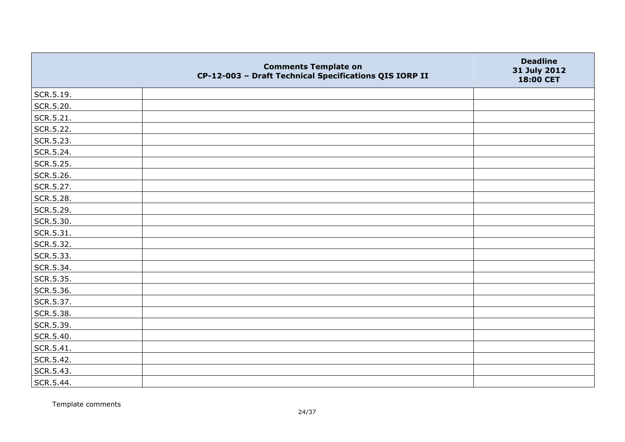|           | <b>Comments Template on</b><br>CP-12-003 - Draft Technical Specifications QIS IORP II | <b>Deadline</b><br>31 July 2012<br>18:00 CET |
|-----------|---------------------------------------------------------------------------------------|----------------------------------------------|
| SCR.5.19. |                                                                                       |                                              |
| SCR.5.20. |                                                                                       |                                              |
| SCR.5.21. |                                                                                       |                                              |
| SCR.5.22. |                                                                                       |                                              |
| SCR.5.23. |                                                                                       |                                              |
| SCR.5.24. |                                                                                       |                                              |
| SCR.5.25. |                                                                                       |                                              |
| SCR.5.26. |                                                                                       |                                              |
| SCR.5.27. |                                                                                       |                                              |
| SCR.5.28. |                                                                                       |                                              |
| SCR.5.29. |                                                                                       |                                              |
| SCR.5.30. |                                                                                       |                                              |
| SCR.5.31. |                                                                                       |                                              |
| SCR.5.32. |                                                                                       |                                              |
| SCR.5.33. |                                                                                       |                                              |
| SCR.5.34. |                                                                                       |                                              |
| SCR.5.35. |                                                                                       |                                              |
| SCR.5.36. |                                                                                       |                                              |
| SCR.5.37. |                                                                                       |                                              |
| SCR.5.38. |                                                                                       |                                              |
| SCR.5.39. |                                                                                       |                                              |
| SCR.5.40. |                                                                                       |                                              |
| SCR.5.41. |                                                                                       |                                              |
| SCR.5.42. |                                                                                       |                                              |
| SCR.5.43. |                                                                                       |                                              |
| SCR.5.44. |                                                                                       |                                              |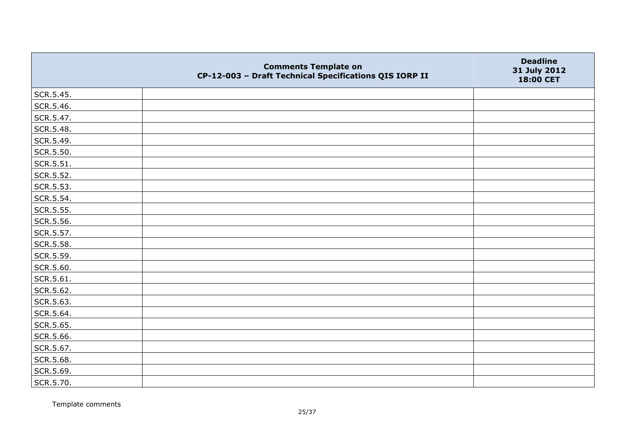|           | <b>Comments Template on</b><br>CP-12-003 - Draft Technical Specifications QIS IORP II | <b>Deadline</b><br>31 July 2012<br>18:00 CET |
|-----------|---------------------------------------------------------------------------------------|----------------------------------------------|
| SCR.5.45. |                                                                                       |                                              |
| SCR.5.46. |                                                                                       |                                              |
| SCR.5.47. |                                                                                       |                                              |
| SCR.5.48. |                                                                                       |                                              |
| SCR.5.49. |                                                                                       |                                              |
| SCR.5.50. |                                                                                       |                                              |
| SCR.5.51. |                                                                                       |                                              |
| SCR.5.52. |                                                                                       |                                              |
| SCR.5.53. |                                                                                       |                                              |
| SCR.5.54. |                                                                                       |                                              |
| SCR.5.55. |                                                                                       |                                              |
| SCR.5.56. |                                                                                       |                                              |
| SCR.5.57. |                                                                                       |                                              |
| SCR.5.58. |                                                                                       |                                              |
| SCR.5.59. |                                                                                       |                                              |
| SCR.5.60. |                                                                                       |                                              |
| SCR.5.61. |                                                                                       |                                              |
| SCR.5.62. |                                                                                       |                                              |
| SCR.5.63. |                                                                                       |                                              |
| SCR.5.64. |                                                                                       |                                              |
| SCR.5.65. |                                                                                       |                                              |
| SCR.5.66. |                                                                                       |                                              |
| SCR.5.67. |                                                                                       |                                              |
| SCR.5.68. |                                                                                       |                                              |
| SCR.5.69. |                                                                                       |                                              |
| SCR.5.70. |                                                                                       |                                              |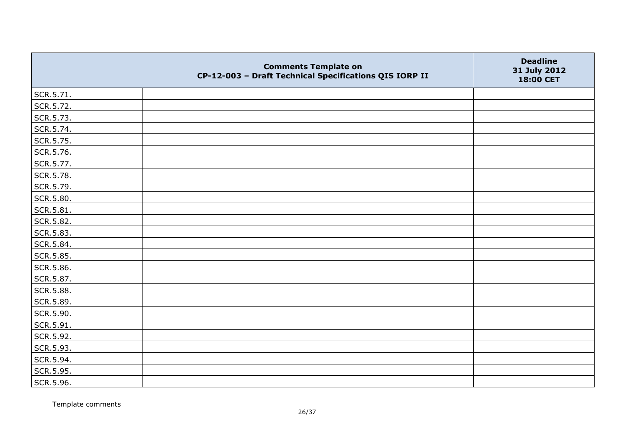|           | <b>Comments Template on</b><br>CP-12-003 - Draft Technical Specifications QIS IORP II | <b>Deadline</b><br>31 July 2012<br>18:00 CET |
|-----------|---------------------------------------------------------------------------------------|----------------------------------------------|
| SCR.5.71. |                                                                                       |                                              |
| SCR.5.72. |                                                                                       |                                              |
| SCR.5.73. |                                                                                       |                                              |
| SCR.5.74. |                                                                                       |                                              |
| SCR.5.75. |                                                                                       |                                              |
| SCR.5.76. |                                                                                       |                                              |
| SCR.5.77. |                                                                                       |                                              |
| SCR.5.78. |                                                                                       |                                              |
| SCR.5.79. |                                                                                       |                                              |
| SCR.5.80. |                                                                                       |                                              |
| SCR.5.81. |                                                                                       |                                              |
| SCR.5.82. |                                                                                       |                                              |
| SCR.5.83. |                                                                                       |                                              |
| SCR.5.84. |                                                                                       |                                              |
| SCR.5.85. |                                                                                       |                                              |
| SCR.5.86. |                                                                                       |                                              |
| SCR.5.87. |                                                                                       |                                              |
| SCR.5.88. |                                                                                       |                                              |
| SCR.5.89. |                                                                                       |                                              |
| SCR.5.90. |                                                                                       |                                              |
| SCR.5.91. |                                                                                       |                                              |
| SCR.5.92. |                                                                                       |                                              |
| SCR.5.93. |                                                                                       |                                              |
| SCR.5.94. |                                                                                       |                                              |
| SCR.5.95. |                                                                                       |                                              |
| SCR.5.96. |                                                                                       |                                              |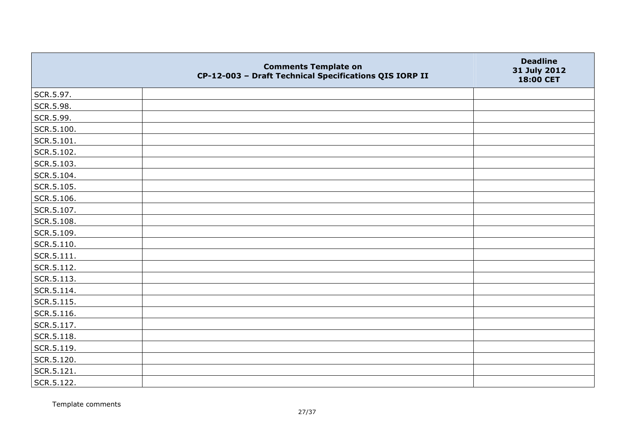|            | <b>Comments Template on</b><br>CP-12-003 - Draft Technical Specifications QIS IORP II | <b>Deadline</b><br>31 July 2012<br>18:00 CET |
|------------|---------------------------------------------------------------------------------------|----------------------------------------------|
| SCR.5.97.  |                                                                                       |                                              |
| SCR.5.98.  |                                                                                       |                                              |
| SCR.5.99.  |                                                                                       |                                              |
| SCR.5.100. |                                                                                       |                                              |
| SCR.5.101. |                                                                                       |                                              |
| SCR.5.102. |                                                                                       |                                              |
| SCR.5.103. |                                                                                       |                                              |
| SCR.5.104. |                                                                                       |                                              |
| SCR.5.105. |                                                                                       |                                              |
| SCR.5.106. |                                                                                       |                                              |
| SCR.5.107. |                                                                                       |                                              |
| SCR.5.108. |                                                                                       |                                              |
| SCR.5.109. |                                                                                       |                                              |
| SCR.5.110. |                                                                                       |                                              |
| SCR.5.111. |                                                                                       |                                              |
| SCR.5.112. |                                                                                       |                                              |
| SCR.5.113. |                                                                                       |                                              |
| SCR.5.114. |                                                                                       |                                              |
| SCR.5.115. |                                                                                       |                                              |
| SCR.5.116. |                                                                                       |                                              |
| SCR.5.117. |                                                                                       |                                              |
| SCR.5.118. |                                                                                       |                                              |
| SCR.5.119. |                                                                                       |                                              |
| SCR.5.120. |                                                                                       |                                              |
| SCR.5.121. |                                                                                       |                                              |
| SCR.5.122. |                                                                                       |                                              |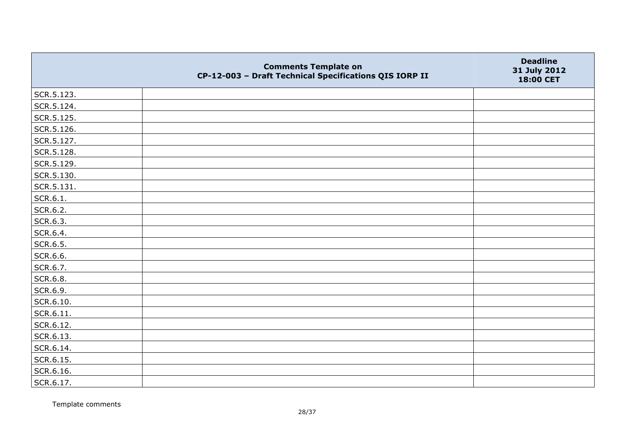|            | <b>Comments Template on</b><br>CP-12-003 - Draft Technical Specifications QIS IORP II | <b>Deadline</b><br>31 July 2012<br>18:00 CET |
|------------|---------------------------------------------------------------------------------------|----------------------------------------------|
| SCR.5.123. |                                                                                       |                                              |
| SCR.5.124. |                                                                                       |                                              |
| SCR.5.125. |                                                                                       |                                              |
| SCR.5.126. |                                                                                       |                                              |
| SCR.5.127. |                                                                                       |                                              |
| SCR.5.128. |                                                                                       |                                              |
| SCR.5.129. |                                                                                       |                                              |
| SCR.5.130. |                                                                                       |                                              |
| SCR.5.131. |                                                                                       |                                              |
| SCR.6.1.   |                                                                                       |                                              |
| SCR.6.2.   |                                                                                       |                                              |
| SCR.6.3.   |                                                                                       |                                              |
| SCR.6.4.   |                                                                                       |                                              |
| SCR.6.5.   |                                                                                       |                                              |
| SCR.6.6.   |                                                                                       |                                              |
| SCR.6.7.   |                                                                                       |                                              |
| SCR.6.8.   |                                                                                       |                                              |
| SCR.6.9.   |                                                                                       |                                              |
| SCR.6.10.  |                                                                                       |                                              |
| SCR.6.11.  |                                                                                       |                                              |
| SCR.6.12.  |                                                                                       |                                              |
| SCR.6.13.  |                                                                                       |                                              |
| SCR.6.14.  |                                                                                       |                                              |
| SCR.6.15.  |                                                                                       |                                              |
| SCR.6.16.  |                                                                                       |                                              |
| SCR.6.17.  |                                                                                       |                                              |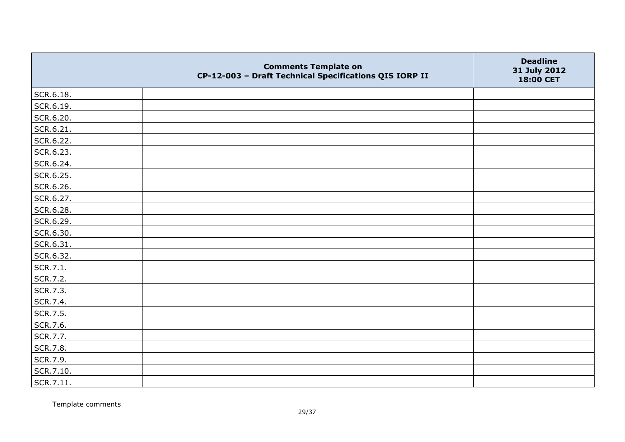|           | <b>Comments Template on</b><br>CP-12-003 - Draft Technical Specifications QIS IORP II | <b>Deadline</b><br>31 July 2012<br>18:00 CET |
|-----------|---------------------------------------------------------------------------------------|----------------------------------------------|
| SCR.6.18. |                                                                                       |                                              |
| SCR.6.19. |                                                                                       |                                              |
| SCR.6.20. |                                                                                       |                                              |
| SCR.6.21. |                                                                                       |                                              |
| SCR.6.22. |                                                                                       |                                              |
| SCR.6.23. |                                                                                       |                                              |
| SCR.6.24. |                                                                                       |                                              |
| SCR.6.25. |                                                                                       |                                              |
| SCR.6.26. |                                                                                       |                                              |
| SCR.6.27. |                                                                                       |                                              |
| SCR.6.28. |                                                                                       |                                              |
| SCR.6.29. |                                                                                       |                                              |
| SCR.6.30. |                                                                                       |                                              |
| SCR.6.31. |                                                                                       |                                              |
| SCR.6.32. |                                                                                       |                                              |
| SCR.7.1.  |                                                                                       |                                              |
| SCR.7.2.  |                                                                                       |                                              |
| SCR.7.3.  |                                                                                       |                                              |
| SCR.7.4.  |                                                                                       |                                              |
| SCR.7.5.  |                                                                                       |                                              |
| SCR.7.6.  |                                                                                       |                                              |
| SCR.7.7.  |                                                                                       |                                              |
| SCR.7.8.  |                                                                                       |                                              |
| SCR.7.9.  |                                                                                       |                                              |
| SCR.7.10. |                                                                                       |                                              |
| SCR.7.11. |                                                                                       |                                              |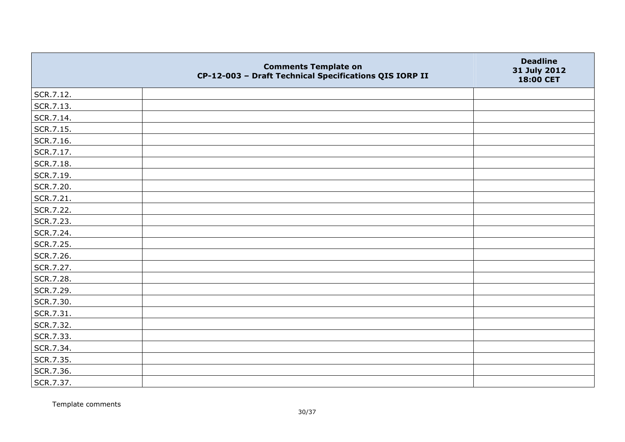|           | <b>Comments Template on</b><br>CP-12-003 - Draft Technical Specifications QIS IORP II | <b>Deadline</b><br>31 July 2012<br>18:00 CET |
|-----------|---------------------------------------------------------------------------------------|----------------------------------------------|
| SCR.7.12. |                                                                                       |                                              |
| SCR.7.13. |                                                                                       |                                              |
| SCR.7.14. |                                                                                       |                                              |
| SCR.7.15. |                                                                                       |                                              |
| SCR.7.16. |                                                                                       |                                              |
| SCR.7.17. |                                                                                       |                                              |
| SCR.7.18. |                                                                                       |                                              |
| SCR.7.19. |                                                                                       |                                              |
| SCR.7.20. |                                                                                       |                                              |
| SCR.7.21. |                                                                                       |                                              |
| SCR.7.22. |                                                                                       |                                              |
| SCR.7.23. |                                                                                       |                                              |
| SCR.7.24. |                                                                                       |                                              |
| SCR.7.25. |                                                                                       |                                              |
| SCR.7.26. |                                                                                       |                                              |
| SCR.7.27. |                                                                                       |                                              |
| SCR.7.28. |                                                                                       |                                              |
| SCR.7.29. |                                                                                       |                                              |
| SCR.7.30. |                                                                                       |                                              |
| SCR.7.31. |                                                                                       |                                              |
| SCR.7.32. |                                                                                       |                                              |
| SCR.7.33. |                                                                                       |                                              |
| SCR.7.34. |                                                                                       |                                              |
| SCR.7.35. |                                                                                       |                                              |
| SCR.7.36. |                                                                                       |                                              |
| SCR.7.37. |                                                                                       |                                              |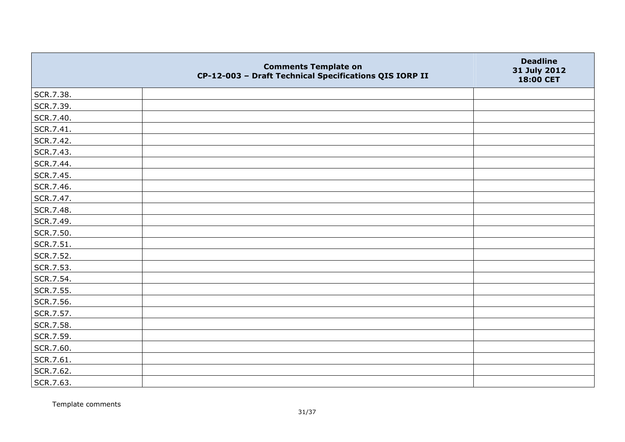|           | <b>Comments Template on</b><br>CP-12-003 - Draft Technical Specifications QIS IORP II | <b>Deadline</b><br>31 July 2012<br>18:00 CET |
|-----------|---------------------------------------------------------------------------------------|----------------------------------------------|
| SCR.7.38. |                                                                                       |                                              |
| SCR.7.39. |                                                                                       |                                              |
| SCR.7.40. |                                                                                       |                                              |
| SCR.7.41. |                                                                                       |                                              |
| SCR.7.42. |                                                                                       |                                              |
| SCR.7.43. |                                                                                       |                                              |
| SCR.7.44. |                                                                                       |                                              |
| SCR.7.45. |                                                                                       |                                              |
| SCR.7.46. |                                                                                       |                                              |
| SCR.7.47. |                                                                                       |                                              |
| SCR.7.48. |                                                                                       |                                              |
| SCR.7.49. |                                                                                       |                                              |
| SCR.7.50. |                                                                                       |                                              |
| SCR.7.51. |                                                                                       |                                              |
| SCR.7.52. |                                                                                       |                                              |
| SCR.7.53. |                                                                                       |                                              |
| SCR.7.54. |                                                                                       |                                              |
| SCR.7.55. |                                                                                       |                                              |
| SCR.7.56. |                                                                                       |                                              |
| SCR.7.57. |                                                                                       |                                              |
| SCR.7.58. |                                                                                       |                                              |
| SCR.7.59. |                                                                                       |                                              |
| SCR.7.60. |                                                                                       |                                              |
| SCR.7.61. |                                                                                       |                                              |
| SCR.7.62. |                                                                                       |                                              |
| SCR.7.63. |                                                                                       |                                              |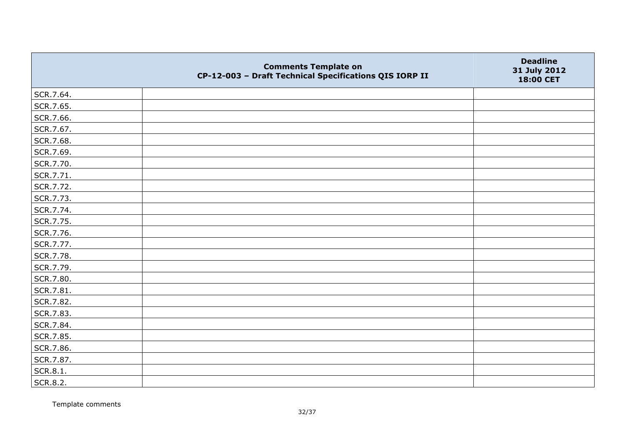|           | <b>Comments Template on</b><br>CP-12-003 - Draft Technical Specifications QIS IORP II | <b>Deadline</b><br>31 July 2012<br>18:00 CET |
|-----------|---------------------------------------------------------------------------------------|----------------------------------------------|
| SCR.7.64. |                                                                                       |                                              |
| SCR.7.65. |                                                                                       |                                              |
| SCR.7.66. |                                                                                       |                                              |
| SCR.7.67. |                                                                                       |                                              |
| SCR.7.68. |                                                                                       |                                              |
| SCR.7.69. |                                                                                       |                                              |
| SCR.7.70. |                                                                                       |                                              |
| SCR.7.71. |                                                                                       |                                              |
| SCR.7.72. |                                                                                       |                                              |
| SCR.7.73. |                                                                                       |                                              |
| SCR.7.74. |                                                                                       |                                              |
| SCR.7.75. |                                                                                       |                                              |
| SCR.7.76. |                                                                                       |                                              |
| SCR.7.77. |                                                                                       |                                              |
| SCR.7.78. |                                                                                       |                                              |
| SCR.7.79. |                                                                                       |                                              |
| SCR.7.80. |                                                                                       |                                              |
| SCR.7.81. |                                                                                       |                                              |
| SCR.7.82. |                                                                                       |                                              |
| SCR.7.83. |                                                                                       |                                              |
| SCR.7.84. |                                                                                       |                                              |
| SCR.7.85. |                                                                                       |                                              |
| SCR.7.86. |                                                                                       |                                              |
| SCR.7.87. |                                                                                       |                                              |
| SCR.8.1.  |                                                                                       |                                              |
| SCR.8.2.  |                                                                                       |                                              |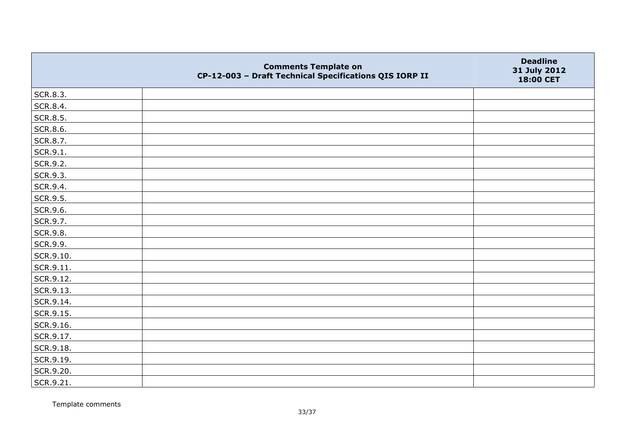|           | <b>Comments Template on</b><br>CP-12-003 - Draft Technical Specifications QIS IORP II | <b>Deadline</b><br>31 July 2012<br>18:00 CET |
|-----------|---------------------------------------------------------------------------------------|----------------------------------------------|
| SCR.8.3.  |                                                                                       |                                              |
| SCR.8.4.  |                                                                                       |                                              |
| SCR.8.5.  |                                                                                       |                                              |
| SCR.8.6.  |                                                                                       |                                              |
| SCR.8.7.  |                                                                                       |                                              |
| SCR.9.1.  |                                                                                       |                                              |
| SCR.9.2.  |                                                                                       |                                              |
| SCR.9.3.  |                                                                                       |                                              |
| SCR.9.4.  |                                                                                       |                                              |
| SCR.9.5.  |                                                                                       |                                              |
| SCR.9.6.  |                                                                                       |                                              |
| SCR.9.7.  |                                                                                       |                                              |
| SCR.9.8.  |                                                                                       |                                              |
| SCR.9.9.  |                                                                                       |                                              |
| SCR.9.10. |                                                                                       |                                              |
| SCR.9.11. |                                                                                       |                                              |
| SCR.9.12. |                                                                                       |                                              |
| SCR.9.13. |                                                                                       |                                              |
| SCR.9.14. |                                                                                       |                                              |
| SCR.9.15. |                                                                                       |                                              |
| SCR.9.16. |                                                                                       |                                              |
| SCR.9.17. |                                                                                       |                                              |
| SCR.9.18. |                                                                                       |                                              |
| SCR.9.19. |                                                                                       |                                              |
| SCR.9.20. |                                                                                       |                                              |
| SCR.9.21. |                                                                                       |                                              |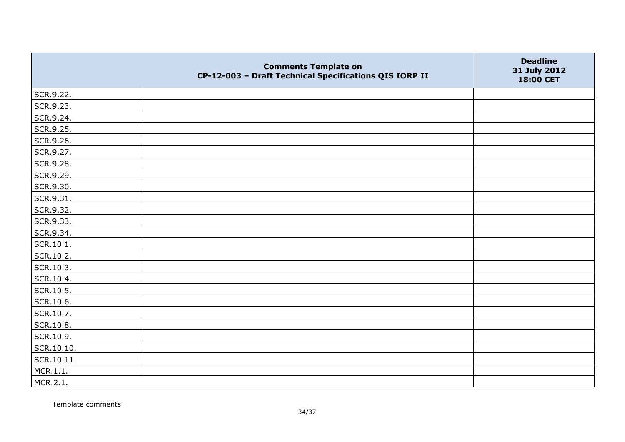|            | <b>Comments Template on</b><br>CP-12-003 - Draft Technical Specifications QIS IORP II | <b>Deadline</b><br>31 July 2012<br>18:00 CET |
|------------|---------------------------------------------------------------------------------------|----------------------------------------------|
| SCR.9.22.  |                                                                                       |                                              |
| SCR.9.23.  |                                                                                       |                                              |
| SCR.9.24.  |                                                                                       |                                              |
| SCR.9.25.  |                                                                                       |                                              |
| SCR.9.26.  |                                                                                       |                                              |
| SCR.9.27.  |                                                                                       |                                              |
| SCR.9.28.  |                                                                                       |                                              |
| SCR.9.29.  |                                                                                       |                                              |
| SCR.9.30.  |                                                                                       |                                              |
| SCR.9.31.  |                                                                                       |                                              |
| SCR.9.32.  |                                                                                       |                                              |
| SCR.9.33.  |                                                                                       |                                              |
| SCR.9.34.  |                                                                                       |                                              |
| SCR.10.1.  |                                                                                       |                                              |
| SCR.10.2.  |                                                                                       |                                              |
| SCR.10.3.  |                                                                                       |                                              |
| SCR.10.4.  |                                                                                       |                                              |
| SCR.10.5.  |                                                                                       |                                              |
| SCR.10.6.  |                                                                                       |                                              |
| SCR.10.7.  |                                                                                       |                                              |
| SCR.10.8.  |                                                                                       |                                              |
| SCR.10.9.  |                                                                                       |                                              |
| SCR.10.10. |                                                                                       |                                              |
| SCR.10.11. |                                                                                       |                                              |
| MCR.1.1.   |                                                                                       |                                              |
| MCR.2.1.   |                                                                                       |                                              |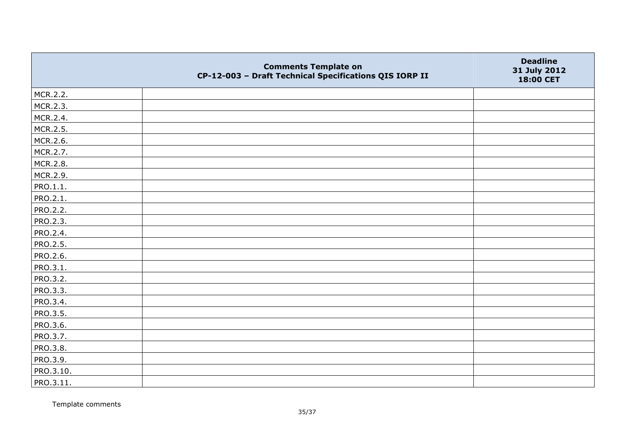|                 | <b>Comments Template on</b><br>CP-12-003 - Draft Technical Specifications QIS IORP II | <b>Deadline</b><br>31 July 2012<br>18:00 CET |
|-----------------|---------------------------------------------------------------------------------------|----------------------------------------------|
| MCR.2.2.        |                                                                                       |                                              |
| MCR.2.3.        |                                                                                       |                                              |
| MCR.2.4.        |                                                                                       |                                              |
| MCR.2.5.        |                                                                                       |                                              |
| MCR.2.6.        |                                                                                       |                                              |
| MCR.2.7.        |                                                                                       |                                              |
| MCR.2.8.        |                                                                                       |                                              |
| MCR.2.9.        |                                                                                       |                                              |
| PRO.1.1.        |                                                                                       |                                              |
| PRO.2.1.        |                                                                                       |                                              |
| <b>PRO.2.2.</b> |                                                                                       |                                              |
| <b>PRO.2.3.</b> |                                                                                       |                                              |
| PRO.2.4.        |                                                                                       |                                              |
| PRO.2.5.        |                                                                                       |                                              |
| PRO.2.6.        |                                                                                       |                                              |
| PRO.3.1.        |                                                                                       |                                              |
| PRO.3.2.        |                                                                                       |                                              |
| PRO.3.3.        |                                                                                       |                                              |
| PRO.3.4.        |                                                                                       |                                              |
| <b>PRO.3.5.</b> |                                                                                       |                                              |
| PRO.3.6.        |                                                                                       |                                              |
| PRO.3.7.        |                                                                                       |                                              |
| PRO.3.8.        |                                                                                       |                                              |
| PRO.3.9.        |                                                                                       |                                              |
| PRO.3.10.       |                                                                                       |                                              |
| PRO.3.11.       |                                                                                       |                                              |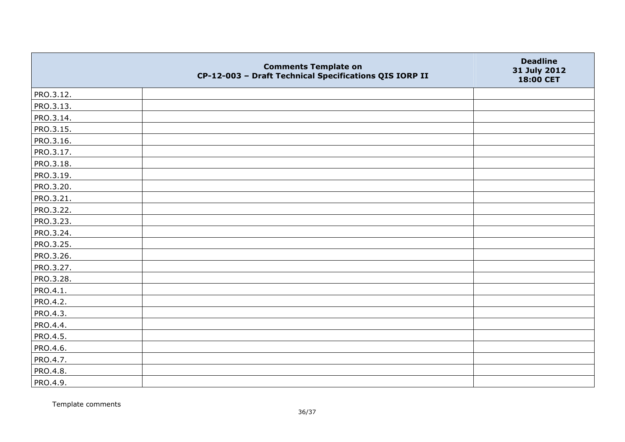|                 | <b>Comments Template on</b><br>CP-12-003 - Draft Technical Specifications QIS IORP II | <b>Deadline</b><br>31 July 2012<br>18:00 CET |
|-----------------|---------------------------------------------------------------------------------------|----------------------------------------------|
| PRO.3.12.       |                                                                                       |                                              |
| PRO.3.13.       |                                                                                       |                                              |
| PRO.3.14.       |                                                                                       |                                              |
| PRO.3.15.       |                                                                                       |                                              |
| PRO.3.16.       |                                                                                       |                                              |
| PRO.3.17.       |                                                                                       |                                              |
| PRO.3.18.       |                                                                                       |                                              |
| PRO.3.19.       |                                                                                       |                                              |
| PRO.3.20.       |                                                                                       |                                              |
| PRO.3.21.       |                                                                                       |                                              |
| PRO.3.22.       |                                                                                       |                                              |
| PRO.3.23.       |                                                                                       |                                              |
| PRO.3.24.       |                                                                                       |                                              |
| PRO.3.25.       |                                                                                       |                                              |
| PRO.3.26.       |                                                                                       |                                              |
| PRO.3.27.       |                                                                                       |                                              |
| PRO.3.28.       |                                                                                       |                                              |
| PRO.4.1.        |                                                                                       |                                              |
| PRO.4.2.        |                                                                                       |                                              |
| PRO.4.3.        |                                                                                       |                                              |
| PRO.4.4.        |                                                                                       |                                              |
| <b>PRO.4.5.</b> |                                                                                       |                                              |
| PRO.4.6.        |                                                                                       |                                              |
| PRO.4.7.        |                                                                                       |                                              |
| PRO.4.8.        |                                                                                       |                                              |
| PRO.4.9.        |                                                                                       |                                              |